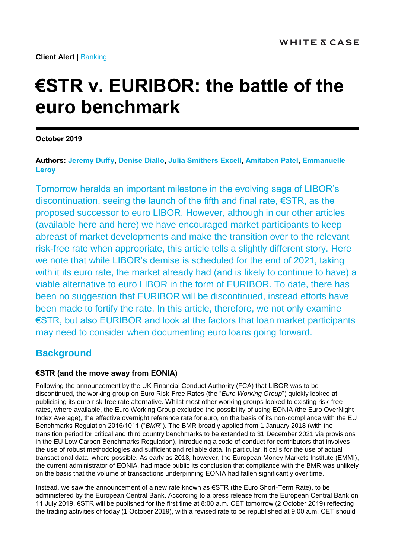**Client Alert** | [Banking](mailto:https://www.whitecase.com/law/practices/banking)

# **€STR v. EURIBOR: the battle of the euro benchmark**

**October 2019**

**Authors: [Jeremy Duffy,](https://www.whitecase.com/people/jeremy-duffy) [Denise Diallo,](https://www.whitecase.com/people/denise-diallo) [Julia Smithers Excell,](https://www.whitecase.com/people/julia-smithers-excell) [Amitaben Patel,](https://www.whitecase.com/people/amitaben-patel) [Emmanuelle](https://www.whitecase.com/people/emmanuelle-leroy)  [Leroy](https://www.whitecase.com/people/emmanuelle-leroy)**

Tomorrow heralds an important milestone in the evolving saga of LIBOR's discontinuation, seeing the launch of the fifth and final rate, €STR, as the proposed successor to euro LIBOR. However, although in our other articles (available [here](https://www.whitecase.com/publications/alert/libor-and-transition-sonia-compounding-problem) and [here\)](https://www.whitecase.com/publications/alert/libor-and-transition-sofr-multiple-options-transition) we have encouraged market participants to keep abreast of market developments and make the transition over to the relevant risk-free rate when appropriate, this article tells a slightly different story. Here we note that while LIBOR's demise is scheduled for the end of 2021, taking with it its euro rate, the market already had (and is likely to continue to have) a viable alternative to euro LIBOR in the form of EURIBOR. To date, there has been no suggestion that EURIBOR will be discontinued, instead efforts have been made to fortify the rate. In this article, therefore, we not only examine €STR, but also EURIBOR and look at the factors that loan market participants may need to consider when documenting euro loans going forward.

## **Background**

## **€STR (and the move away from EONIA)**

Following the announcement by the UK Financial Conduct Authority (FCA) that LIBOR was to be discontinued, the working group on Euro Risk-Free Rates (the "*Euro Working Group*") quickly looked at publicising its euro risk-free rate alternative. Whilst most other working groups looked to existing risk-free rates, where available, the Euro Working Group excluded the possibility of using EONIA (the Euro OverNight Index Average), the effective overnight reference rate for euro, on the basis of its non-compliance with the EU Benchmarks Regulation 2016/1011 ("*BMR*"). The BMR broadly applied from 1 January 2018 (with the transition period for critical and third country benchmarks to be extended to 31 December 2021 via provisions in the EU Low Carbon Benchmarks Regulation), introducing a code of conduct for contributors that involves the use of robust methodologies and sufficient and reliable data. In particular, it calls for the use of actual transactional data, where possible. As early as 2018, however, the European Money Markets Institute (EMMI), the current administrator of EONIA, had made public its conclusion that compliance with the BMR was unlikely on the basis that the volume of transactions underpinning EONIA had fallen significantly over time.

Instead, we saw the announcement of a new rate known as €STR (the Euro Short-Term Rate), to be administered by the European Central Bank. According to a press release from the European Central Bank on 11 July 2019, €STR will be published for the first time at 8:00 a.m. CET tomorrow (2 October 2019) reflecting the trading activities of today (1 October 2019), with a revised rate to be republished at 9.00 a.m. CET should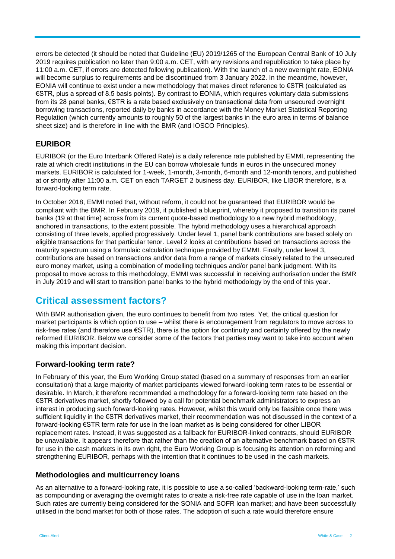errors be detected (it should be noted that Guideline (EU) 2019/1265 of the European Central Bank of 10 July 2019 requires publication no later than 9:00 a.m. CET, with any revisions and republication to take place by 11:00 a.m. CET, if errors are detected following publication). With the launch of a new overnight rate, EONIA will become surplus to requirements and be discontinued from 3 January 2022. In the meantime, however, EONIA will continue to exist under a new methodology that makes direct reference to €STR (calculated as €STR, plus a spread of 8.5 basis points). By contrast to EONIA, which requires voluntary data submissions from its 28 panel banks, €STR is a rate based exclusively on transactional data from unsecured overnight borrowing transactions, reported daily by banks in accordance with the Money Market Statistical Reporting Regulation (which currently amounts to roughly 50 of the largest banks in the euro area in terms of balance sheet size) and is therefore in line with the BMR (and IOSCO Principles).

## **EURIBOR**

EURIBOR (or the Euro Interbank Offered Rate) is a daily reference rate published by EMMI, representing the rate at which credit institutions in the EU can borrow wholesale funds in euros in the unsecured money markets. EURIBOR is calculated for 1-week, 1-month, 3-month, 6-month and 12-month tenors, and published at or shortly after 11:00 a.m. CET on each TARGET 2 business day. EURIBOR, like LIBOR therefore, is a forward-looking term rate.

In October 2018, EMMI noted that, without reform, it could not be guaranteed that EURIBOR would be compliant with the BMR. In February 2019, it published a blueprint, whereby it proposed to transition its panel banks (19 at that time) across from its current quote-based methodology to a new hybrid methodology, anchored in transactions, to the extent possible. The hybrid methodology uses a hierarchical approach consisting of three levels, applied progressively. Under level 1, panel bank contributions are based solely on eligible transactions for that particular tenor. Level 2 looks at contributions based on transactions across the maturity spectrum using a formulaic calculation technique provided by EMMI. Finally, under level 3, contributions are based on transactions and/or data from a range of markets closely related to the unsecured euro money market, using a combination of modelling techniques and/or panel bank judgment. With its proposal to move across to this methodology, EMMI was successful in receiving authorisation under the BMR in July 2019 and will start to transition panel banks to the hybrid methodology by the end of this year.

## **Critical assessment factors?**

With BMR authorisation given, the euro continues to benefit from two rates. Yet, the critical question for market participants is which option to use – whilst there is encouragement from regulators to move across to risk-free rates (and therefore use €STR), there is the option for continuity and certainty offered by the newly reformed EURIBOR. Below we consider some of the factors that parties may want to take into account when making this important decision.

## **Forward-looking term rate?**

In February of this year, the Euro Working Group stated (based on a summary of responses from an earlier consultation) that a large majority of market participants viewed forward-looking term rates to be essential or desirable. In March, it therefore recommended a methodology for a forward-looking term rate based on the €STR derivatives market, shortly followed by a call for potential benchmark administrators to express an interest in producing such forward-looking rates. However, whilst this would only be feasible once there was sufficient liquidity in the €STR derivatives market, their recommendation was not discussed in the context of a forward-looking €STR term rate for use in the loan market as is being considered for other LIBOR replacement rates. Instead, it was suggested as a fallback for EURIBOR-linked contracts, should EURIBOR be unavailable. It appears therefore that rather than the creation of an alternative benchmark based on €STR for use in the cash markets in its own right, the Euro Working Group is focusing its attention on reforming and strengthening EURIBOR, perhaps with the intention that it continues to be used in the cash markets.

## **Methodologies and multicurrency loans**

As an alternative to a forward-looking rate, it is possible to use a so-called 'backward-looking term-rate,' such as compounding or averaging the overnight rates to create a risk-free rate capable of use in the loan market. Such rates are currently being considered for the SONIA and SOFR loan market; and have been successfully utilised in the bond market for both of those rates. The adoption of such a rate would therefore ensure